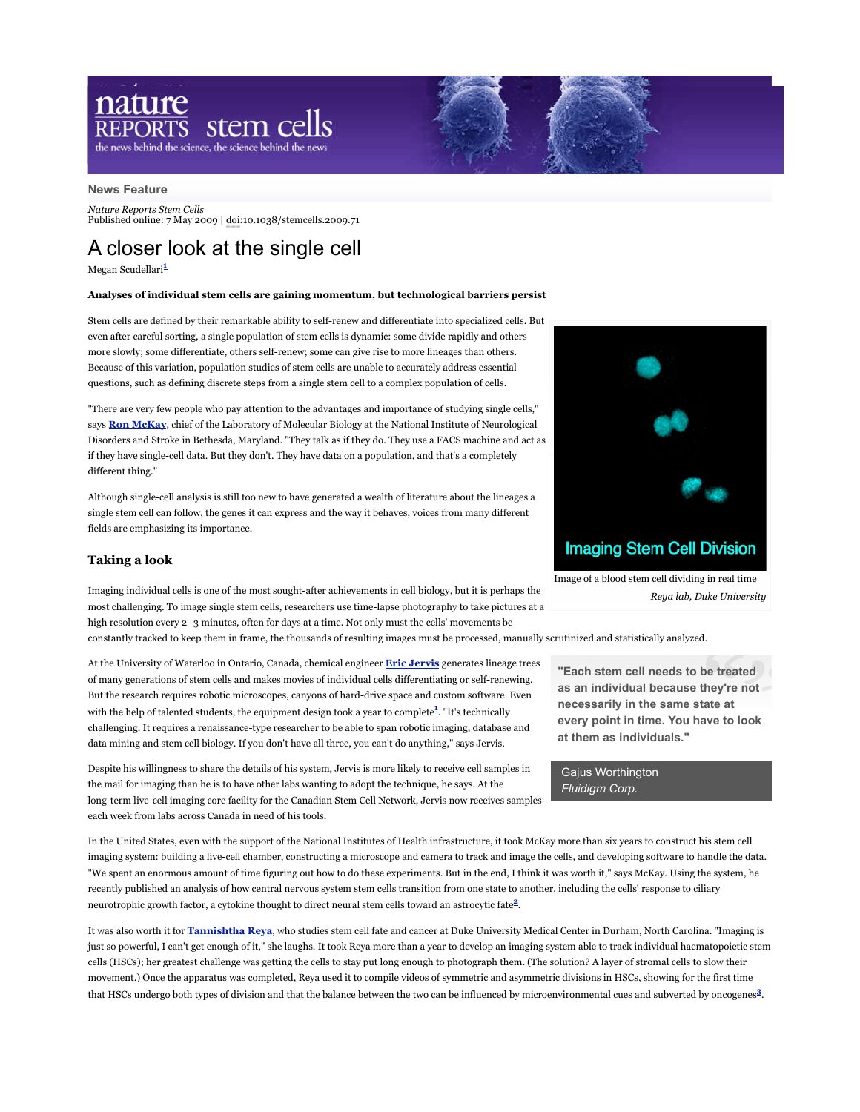# nature  $\frac{\text{arc}}{\text{DRTS}}$  stem cells the news behind the science, the science behind the news

#### **News Feature**

*Nature Reports Stem Cells* Published online: 7 May 2009 | doi:10.1038/stemcells.2009.71

# A closer look at the single cell

Megan Scudellari**<sup>1</sup>**

## **Analyses of individual stem cells are gaining momentum, but technological barriers persist**

Stem cells are defined by their remarkable ability to self-renew and differentiate into specialized cells. But even after careful sorting, a single population of stem cells is dynamic: some divide rapidly and others more slowly; some differentiate, others self-renew; some can give rise to more lineages than others. Because of this variation, population studies of stem cells are unable to accurately address essential questions, such as defining discrete steps from a single stem cell to a complex population of cells.

"There are very few people who pay attention to the advantages and importance of studying single cells," says **Ron McKay**, chief of the Laboratory of Molecular Biology at the National Institute of Neurological Disorders and Stroke in Bethesda, Maryland. "They talk as if they do. They use a FACS machine and act as if they have single-cell data. But they don't. They have data on a population, and that's a completely different thing."

Although single-cell analysis is still too new to have generated a wealth of literature about the lineages a single stem cell can follow, the genes it can express and the way it behaves, voices from many different fields are emphasizing its importance.

# **Taking a look**

Imaging individual cells is one of the most sought-after achievements in cell biology, but it is perhaps the most challenging. To image single stem cells, researchers use time-lapse photography to take pictures at a high resolution every 2–3 minutes, often for days at a time. Not only must the cells' movements be

constantly tracked to keep them in frame, the thousands of resulting images must be processed, manually scrutinized and statistically analyzed.

At the University of Waterloo in Ontario, Canada, chemical engineer **Eric Jervis** generates lineage trees of many generations of stem cells and makes movies of individual cells differentiating or self-renewing. But the research requires robotic microscopes, canyons of hard-drive space and custom software. Even with the help of talented students, the equipment design took a year to complete**<sup>1</sup>** . "It's technically challenging. It requires a renaissance-type researcher to be able to span robotic imaging, database and data mining and stem cell biology. If you don't have all three, you can't do anything," says Jervis.

Despite his willingness to share the details of his system, Jervis is more likely to receive cell samples in the mail for imaging than he is to have other labs wanting to adopt the technique, he says. At the long-term live-cell imaging core facility for the Canadian Stem Cell Network, Jervis now receives samples each week from labs across Canada in need of his tools.

In the United States, even with the support of the National Institutes of Health infrastructure, it took McKay more than six years to construct his stem cell imaging system: building a live-cell chamber, constructing a microscope and camera to track and image the cells, and developing software to handle the data. "We spent an enormous amount of time figuring out how to do these experiments. But in the end, I think it was worth it," says McKay. Using the system, he recently published an analysis of how central nervous system stem cells transition from one state to another, including the cells' response to ciliary neurotrophic growth factor, a cytokine thought to direct neural stem cells toward an astrocytic fate**2**.

It was also worth it for **Tannishtha Reya**, who studies stem cell fate and cancer at Duke University Medical Center in Durham, North Carolina. "Imaging is just so powerful, I can't get enough of it," she laughs. It took Reya more than a year to develop an imaging system able to track individual haematopoietic stem cells (HSCs); her greatest challenge was getting the cells to stay put long enough to photograph them. (The solution? A layer of stromal cells to slow their movement.) Once the apparatus was completed, Reya used it to compile videos of symmetric and asymmetric divisions in HSCs, showing for the first time that HSCs undergo both types of division and that the balance between the two can be influenced by microenvironmental cues and subverted by oncogenes**3**.



**"Each stem cell needs to be treated as an individual because they're not necessarily in the same state at every point in time. You have to look at them as individuals."**

Gajus Worthington *Fluidigm Corp.*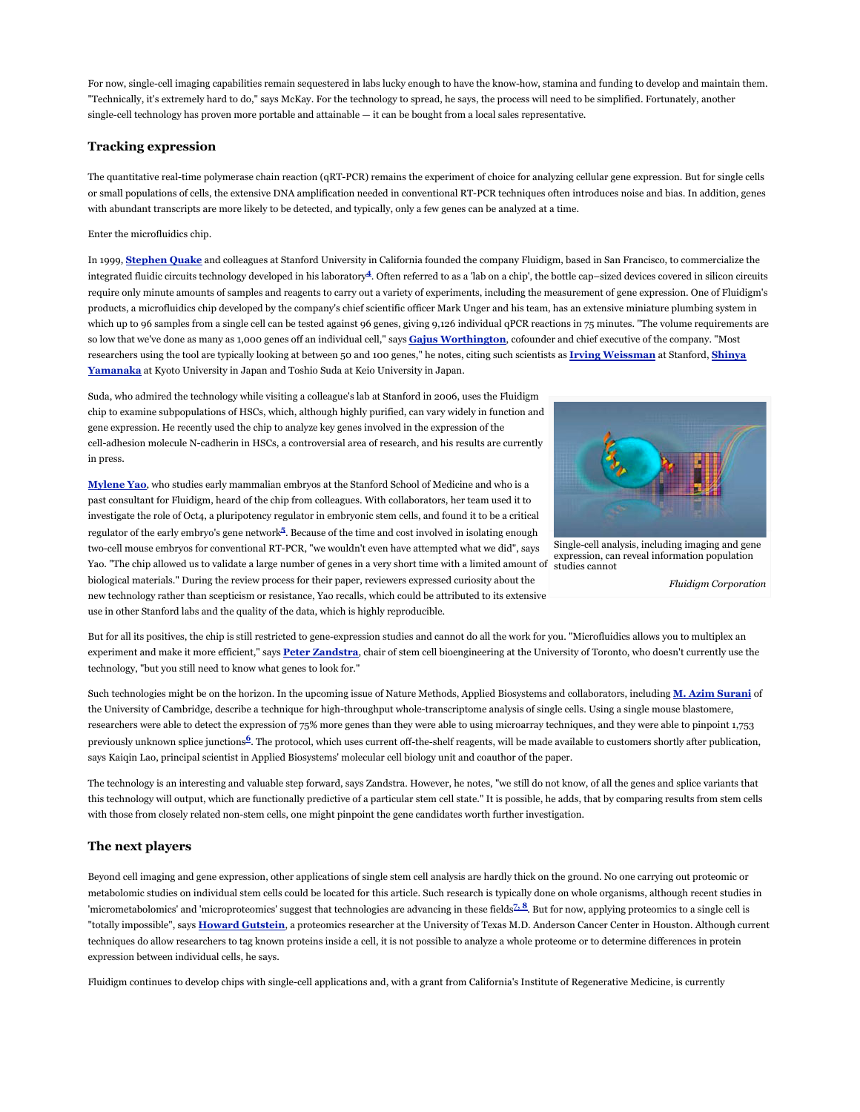For now, single-cell imaging capabilities remain sequestered in labs lucky enough to have the know-how, stamina and funding to develop and maintain them. "Technically, it's extremely hard to do," says McKay. For the technology to spread, he says, the process will need to be simplified. Fortunately, another single-cell technology has proven more portable and attainable — it can be bought from a local sales representative.

# **Tracking expression**

The quantitative real-time polymerase chain reaction (qRT-PCR) remains the experiment of choice for analyzing cellular gene expression. But for single cells or small populations of cells, the extensive DNA amplification needed in conventional RT-PCR techniques often introduces noise and bias. In addition, genes with abundant transcripts are more likely to be detected, and typically, only a few genes can be analyzed at a time.

#### Enter the microfluidics chip.

In 1999, **Stephen Quake** and colleagues at Stanford University in California founded the company Fluidigm, based in San Francisco, to commercialize the integrated fluidic circuits technology developed in his laboratory**4**. Often referred to as a 'lab on a chip', the bottle cap–sized devices covered in silicon circuits require only minute amounts of samples and reagents to carry out a variety of experiments, including the measurement of gene expression. One of Fluidigm's products, a microfluidics chip developed by the company's chief scientific officer Mark Unger and his team, has an extensive miniature plumbing system in which up to 96 samples from a single cell can be tested against 96 genes, giving 9,126 individual qPCR reactions in 75 minutes. "The volume requirements are so low that we've done as many as 1,000 genes off an individual cell," says **Gajus Worthington**, cofounder and chief executive of the company. "Most researchers using the tool are typically looking at between 50 and 100 genes," he notes, citing such scientists as **Irving Weissman** at Stanford, **Shinya Yamanaka** at Kyoto University in Japan and Toshio Suda at Keio University in Japan.

Suda, who admired the technology while visiting a colleague's lab at Stanford in 2006, uses the Fluidigm chip to examine subpopulations of HSCs, which, although highly purified, can vary widely in function and gene expression. He recently used the chip to analyze key genes involved in the expression of the cell-adhesion molecule N-cadherin in HSCs, a controversial area of research, and his results are currently in press.

**Mylene Yao**, who studies early mammalian embryos at the Stanford School of Medicine and who is a past consultant for Fluidigm, heard of the chip from colleagues. With collaborators, her team used it to investigate the role of Oct4, a pluripotency regulator in embryonic stem cells, and found it to be a critical regulator of the early embryo's gene network**<sup>5</sup>** . Because of the time and cost involved in isolating enough



Single-cell analysis, including imaging and gene expression, can reveal information population studies cannot

*Fluidigm Corporation*

two-cell mouse embryos for conventional RT-PCR, "we wouldn't even have attempted what we did", says Yao. "The chip allowed us to validate a large number of genes in a very short time with a limited amount of biological materials." During the review process for their paper, reviewers expressed curiosity about the new technology rather than scepticism or resistance, Yao recalls, which could be attributed to its extensive use in other Stanford labs and the quality of the data, which is highly reproducible.

But for all its positives, the chip is still restricted to gene-expression studies and cannot do all the work for you. "Microfluidics allows you to multiplex an experiment and make it more efficient," says **Peter Zandstra**, chair of stem cell bioengineering at the University of Toronto, who doesn't currently use the technology, "but you still need to know what genes to look for."

Such technologies might be on the horizon. In the upcoming issue of Nature Methods, Applied Biosystems and collaborators, including **M. Azim Surani** of the University of Cambridge, describe a technique for high-throughput whole-transcriptome analysis of single cells. Using a single mouse blastomere, researchers were able to detect the expression of 75% more genes than they were able to using microarray techniques, and they were able to pinpoint 1,753 previously unknown splice junctions**6**. The protocol, which uses current off-the-shelf reagents, will be made available to customers shortly after publication, says Kaiqin Lao, principal scientist in Applied Biosystems' molecular cell biology unit and coauthor of the paper.

The technology is an interesting and valuable step forward, says Zandstra. However, he notes, "we still do not know, of all the genes and splice variants that this technology will output, which are functionally predictive of a particular stem cell state." It is possible, he adds, that by comparing results from stem cells with those from closely related non-stem cells, one might pinpoint the gene candidates worth further investigation.

# **The next players**

Beyond cell imaging and gene expression, other applications of single stem cell analysis are hardly thick on the ground. No one carrying out proteomic or metabolomic studies on individual stem cells could be located for this article. Such research is typically done on whole organisms, although recent studies in 'micrometabolomics' and 'microproteomics' suggest that technologies are advancing in these fields**7, 8**. But for now, applying proteomics to a single cell is "totally impossible", says **Howard Gutstein**, a proteomics researcher at the University of Texas M.D. Anderson Cancer Center in Houston. Although current techniques do allow researchers to tag known proteins inside a cell, it is not possible to analyze a whole proteome or to determine differences in protein expression between individual cells, he says.

Fluidigm continues to develop chips with single-cell applications and, with a grant from California's Institute of Regenerative Medicine, is currently